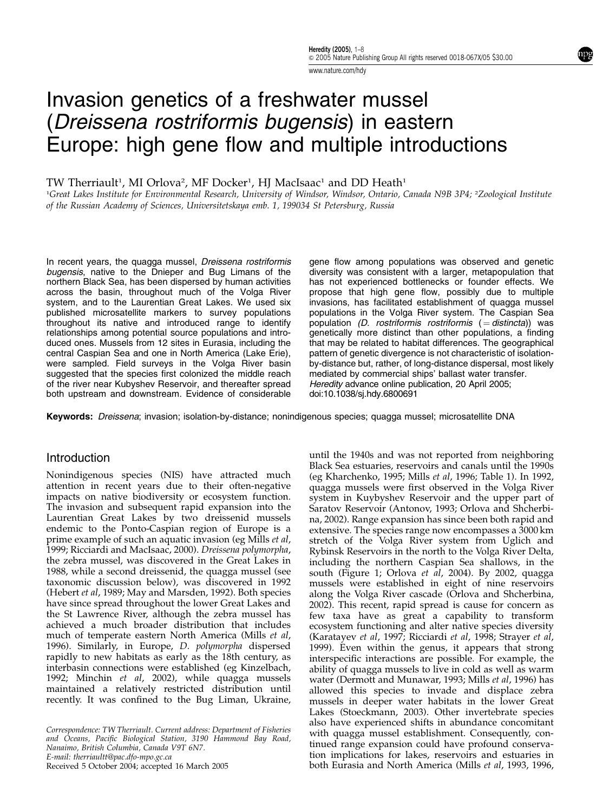www.nature.com/hdy

# Invasion genetics of a freshwater mussel (Dreissena rostriformis bugensis) in eastern Europe: high gene flow and multiple introductions

## TW Therriault<sup>1</sup>, MI Orlova<sup>2</sup>, MF Docker<sup>1</sup>, HJ MacIsaac<sup>1</sup> and DD Heath<sup>1</sup>

<sup>1</sup>Great Lakes Institute for Environmental Research, University of Windsor, Windsor, Ontario, Canada N9B 3P4; <sup>2</sup>Zoological Institute of the Russian Academy of Sciences, Universitetskaya emb. 1, 199034 St Petersburg, Russia

In recent years, the quagga mussel, Dreissena rostriformis bugensis, native to the Dnieper and Bug Limans of the northern Black Sea, has been dispersed by human activities across the basin, throughout much of the Volga River system, and to the Laurentian Great Lakes. We used six published microsatellite markers to survey populations throughout its native and introduced range to identify relationships among potential source populations and introduced ones. Mussels from 12 sites in Eurasia, including the central Caspian Sea and one in North America (Lake Erie), were sampled. Field surveys in the Volga River basin suggested that the species first colonized the middle reach of the river near Kubyshev Reservoir, and thereafter spread both upstream and downstream. Evidence of considerable

gene flow among populations was observed and genetic diversity was consistent with a larger, metapopulation that has not experienced bottlenecks or founder effects. We propose that high gene flow, possibly due to multiple invasions, has facilitated establishment of quagga mussel populations in the Volga River system. The Caspian Sea population (D. rostriformis rostriformis  $( =$  distincta)) was genetically more distinct than other populations, a finding that may be related to habitat differences. The geographical pattern of genetic divergence is not characteristic of isolationby-distance but, rather, of long-distance dispersal, most likely mediated by commercial ships' ballast water transfer. Heredity advance online publication, 20 April 2005; doi:10.1038/sj.hdy.6800691

Keywords: *Dreissena*; invasion; isolation-by-distance; nonindigenous species; quagga mussel; microsatellite DNA

### **Introduction**

Nonindigenous species (NIS) have attracted much attention in recent years due to their often-negative impacts on native biodiversity or ecosystem function. The invasion and subsequent rapid expansion into the Laurentian Great Lakes by two dreissenid mussels endemic to the Ponto-Caspian region of Europe is a prime example of such an aquatic invasion (eg Mills et al, 1999; Ricciardi and MacIsaac, 2000). Dreissena polymorpha, the zebra mussel, was discovered in the Great Lakes in 1988, while a second dreissenid, the quagga mussel (see taxonomic discussion below), was discovered in 1992 (Hebert et al, 1989; May and Marsden, 1992). Both species have since spread throughout the lower Great Lakes and the St Lawrence River, although the zebra mussel has achieved a much broader distribution that includes much of temperate eastern North America (Mills et al, 1996). Similarly, in Europe, D. polymorpha dispersed rapidly to new habitats as early as the 18th century, as interbasin connections were established (eg Kinzelbach, 1992; Minchin et al, 2002), while quagga mussels maintained a relatively restricted distribution until recently. It was confined to the Bug Liman, Ukraine,

Correspondence: TW Therriault. Current address: Department of Fisheries and Oceans, Pacific Biological Station, 3190 Hammond Bay Road, Nanaimo, British Columbia, Canada V9T 6N7. E-mail: therriaultt@pac.dfo-mpo.gc.ca

until the 1940s and was not reported from neighboring Black Sea estuaries, reservoirs and canals until the 1990s (eg Kharchenko, 1995; Mills et al, 1996; Table 1). In 1992, quagga mussels were first observed in the Volga River system in Kuybyshev Reservoir and the upper part of Saratov Reservoir (Antonov, 1993; Orlova and Shcherbina, 2002). Range expansion has since been both rapid and extensive. The species range now encompasses a 3000 km stretch of the Volga River system from Uglich and Rybinsk Reservoirs in the north to the Volga River Delta, including the northern Caspian Sea shallows, in the south (Figure 1; Orlova *et al.* 2004). By 2002, quagga mussels were established in eight of nine reservoirs along the Volga River cascade (Orlova and Shcherbina, 2002). This recent, rapid spread is cause for concern as few taxa have as great a capability to transform ecosystem functioning and alter native species diversity (Karatayev et al, 1997; Ricciardi et al, 1998; Strayer et al, 1999). Even within the genus, it appears that strong interspecific interactions are possible. For example, the ability of quagga mussels to live in cold as well as warm water (Dermott and Munawar, 1993; Mills et al, 1996) has allowed this species to invade and displace zebra mussels in deeper water habitats in the lower Great Lakes (Stoeckmann, 2003). Other invertebrate species also have experienced shifts in abundance concomitant with quagga mussel establishment. Consequently, continued range expansion could have profound conservation implications for lakes, reservoirs and estuaries in Received 5 October 2004; accepted 16 March 2005 both Eurasia and North America (Mills et al, 1993, 1996,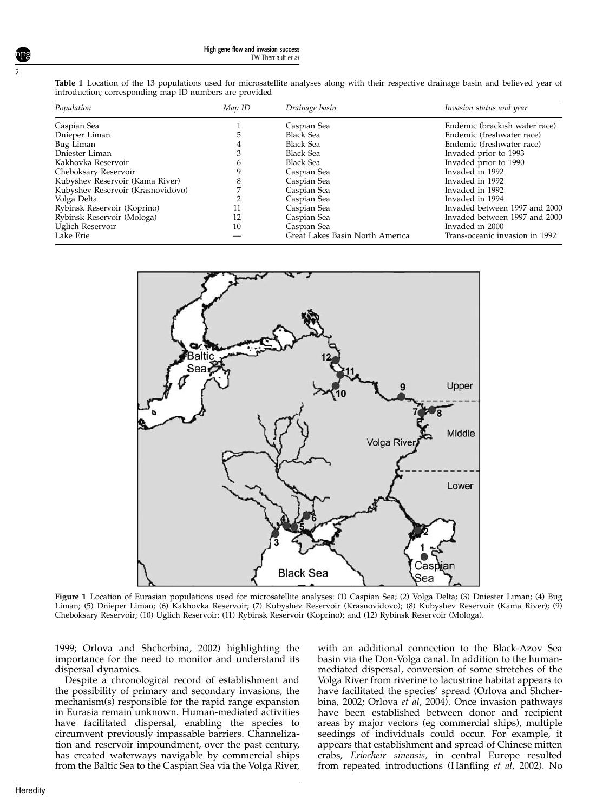Table 1 Location of the 13 populations used for microsatellite analyses along with their respective drainage basin and believed year of introduction; corresponding map ID numbers are provided

| Population                        | Map ID | Drainage basin                  | Invasion status and year       |
|-----------------------------------|--------|---------------------------------|--------------------------------|
| Caspian Sea                       |        | Caspian Sea                     | Endemic (brackish water race)  |
| Dnieper Liman                     |        | <b>Black Sea</b>                | Endemic (freshwater race)      |
| Bug Liman                         |        | <b>Black Sea</b>                | Endemic (freshwater race)      |
| Dniester Liman                    |        | <b>Black Sea</b>                | Invaded prior to 1993          |
| Kakhovka Reservoir                |        | <b>Black Sea</b>                | Invaded prior to 1990          |
| Cheboksary Reservoir              |        | Caspian Sea                     | Invaded in 1992                |
| Kubyshev Reservoir (Kama River)   |        | Caspian Sea                     | Invaded in 1992                |
| Kubyshev Reservoir (Krasnovidovo) |        | Caspian Sea                     | Invaded in 1992                |
| Volga Delta                       |        | Caspian Sea                     | Invaded in 1994                |
| Rybinsk Reservoir (Koprino)       | 11     | Caspian Sea                     | Invaded between 1997 and 2000  |
| Rybinsk Reservoir (Mologa)        | 12     | Caspian Sea                     | Invaded between 1997 and 2000  |
| Uglich Reservoir                  | 10     | Caspian Sea                     | Invaded in 2000                |
| Lake Erie                         |        | Great Lakes Basin North America | Trans-oceanic invasion in 1992 |



Figure 1 Location of Eurasian populations used for microsatellite analyses: (1) Caspian Sea; (2) Volga Delta; (3) Dniester Liman; (4) Bug Liman; (5) Dnieper Liman; (6) Kakhovka Reservoir; (7) Kubyshev Reservoir (Krasnovidovo); (8) Kubyshev Reservoir (Kama River); (9) Cheboksary Reservoir; (10) Uglich Reservoir; (11) Rybinsk Reservoir (Koprino); and (12) Rybinsk Reservoir (Mologa).

1999; Orlova and Shcherbina, 2002) highlighting the importance for the need to monitor and understand its dispersal dynamics.

Despite a chronological record of establishment and the possibility of primary and secondary invasions, the mechanism(s) responsible for the rapid range expansion in Eurasia remain unknown. Human-mediated activities have facilitated dispersal, enabling the species to circumvent previously impassable barriers. Channelization and reservoir impoundment, over the past century, has created waterways navigable by commercial ships from the Baltic Sea to the Caspian Sea via the Volga River,

with an additional connection to the Black-Azov Sea basin via the Don-Volga canal. In addition to the humanmediated dispersal, conversion of some stretches of the Volga River from riverine to lacustrine habitat appears to have facilitated the species' spread (Orlova and Shcherbina, 2002; Orlova et al, 2004). Once invasion pathways have been established between donor and recipient areas by major vectors (eg commercial ships), multiple seedings of individuals could occur. For example, it appears that establishment and spread of Chinese mitten crabs, Eriocheir sinensis, in central Europe resulted from repeated introductions (Hänfling *et al*, 2002). No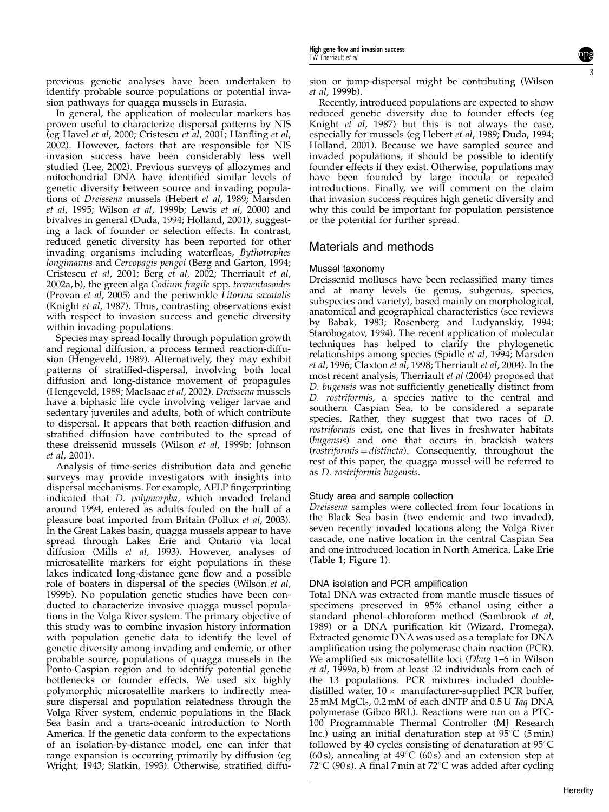previous genetic analyses have been undertaken to identify probable source populations or potential invasion pathways for quagga mussels in Eurasia.

In general, the application of molecular markers has proven useful to characterize dispersal patterns by NIS (eg Havel et al, 2000; Cristescu et al, 2001; Hänfling et al, 2002). However, factors that are responsible for NIS invasion success have been considerably less well studied (Lee, 2002). Previous surveys of allozymes and mitochondrial DNA have identified similar levels of genetic diversity between source and invading populations of Dreissena mussels (Hebert et al, 1989; Marsden et al, 1995; Wilson et al, 1999b; Lewis et al, 2000) and bivalves in general (Duda, 1994; Holland, 2001), suggesting a lack of founder or selection effects. In contrast, reduced genetic diversity has been reported for other invading organisms including waterfleas, Bythotrephes longimanus and Cercopagis pengoi (Berg and Garton, 1994; Cristescu et al, 2001; Berg et al, 2002; Therriault et al, 2002a, b), the green alga Codium fragile spp. trementosoides (Provan et al, 2005) and the periwinkle Litorina saxatalis (Knight et al, 1987). Thus, contrasting observations exist with respect to invasion success and genetic diversity within invading populations.

Species may spread locally through population growth and regional diffusion, a process termed reaction-diffusion (Hengeveld, 1989). Alternatively, they may exhibit patterns of stratified-dispersal, involving both local diffusion and long-distance movement of propagules (Hengeveld, 1989; MacIsaac et al, 2002). Dreissena mussels have a biphasic life cycle involving veliger larvae and sedentary juveniles and adults, both of which contribute to dispersal. It appears that both reaction-diffusion and stratified diffusion have contributed to the spread of these dreissenid mussels (Wilson et al, 1999b; Johnson et al, 2001).

Analysis of time-series distribution data and genetic surveys may provide investigators with insights into dispersal mechanisms. For example, AFLP fingerprinting indicated that D. polymorpha, which invaded Ireland around 1994, entered as adults fouled on the hull of a pleasure boat imported from Britain (Pollux et al, 2003). In the Great Lakes basin, quagga mussels appear to have spread through Lakes Erie and Ontario via local diffusion (Mills et al, 1993). However, analyses of microsatellite markers for eight populations in these lakes indicated long-distance gene flow and a possible role of boaters in dispersal of the species (Wilson et al, 1999b). No population genetic studies have been conducted to characterize invasive quagga mussel populations in the Volga River system. The primary objective of this study was to combine invasion history information with population genetic data to identify the level of genetic diversity among invading and endemic, or other probable source, populations of quagga mussels in the Ponto-Caspian region and to identify potential genetic bottlenecks or founder effects. We used six highly polymorphic microsatellite markers to indirectly measure dispersal and population relatedness through the Volga River system, endemic populations in the Black Sea basin and a trans-oceanic introduction to North America. If the genetic data conform to the expectations of an isolation-by-distance model, one can infer that range expansion is occurring primarily by diffusion (eg Wright, 1943; Slatkin, 1993). Otherwise, stratified diffusion or jump-dispersal might be contributing (Wilson et al, 1999b).

Recently, introduced populations are expected to show reduced genetic diversity due to founder effects (eg Knight et al, 1987) but this is not always the case, especially for mussels (eg Hebert et al, 1989; Duda, 1994; Holland, 2001). Because we have sampled source and invaded populations, it should be possible to identify founder effects if they exist. Otherwise, populations may have been founded by large inocula or repeated introductions. Finally, we will comment on the claim that invasion success requires high genetic diversity and why this could be important for population persistence or the potential for further spread.

# Materials and methods

#### Mussel taxonomy

Dreissenid molluscs have been reclassified many times and at many levels (ie genus, subgenus, species, subspecies and variety), based mainly on morphological, anatomical and geographical characteristics (see reviews by Babak, 1983; Rosenberg and Ludyanskiy, 1994; Starobogatov, 1994). The recent application of molecular techniques has helped to clarify the phylogenetic relationships among species (Spidle et al, 1994; Marsden et al, 1996; Claxton et al, 1998; Therriault et al, 2004). In the most recent analysis, Therriault et al (2004) proposed that D. bugensis was not sufficiently genetically distinct from D. rostriformis, a species native to the central and southern Caspian Sea, to be considered a separate species. Rather, they suggest that two races of D. rostriformis exist, one that lives in freshwater habitats (bugensis) and one that occurs in brackish waters  $(rostriformis = distincta)$ . Consequently, throughout the rest of this paper, the quagga mussel will be referred to as D. rostriformis bugensis.

#### Study area and sample collection

Dreissena samples were collected from four locations in the Black Sea basin (two endemic and two invaded), seven recently invaded locations along the Volga River cascade, one native location in the central Caspian Sea and one introduced location in North America, Lake Erie (Table 1; Figure 1).

#### DNA isolation and PCR amplification

Total DNA was extracted from mantle muscle tissues of specimens preserved in 95% ethanol using either a standard phenol–chloroform method (Sambrook et al, 1989) or a DNA purification kit (Wizard, Promega). Extracted genomic DNA was used as a template for DNA amplification using the polymerase chain reaction (PCR). We amplified six microsatellite loci (Dbug 1–6 in Wilson et al, 1999a, b) from at least 32 individuals from each of the 13 populations. PCR mixtures included doubledistilled water,  $10 \times$  manufacturer-supplied PCR buffer, 25 mM MgCl<sub>2</sub>, 0.2 mM of each dNTP and 0.5 U Taq DNA polymerase (Gibco BRL). Reactions were run on a PTC-100 Programmable Thermal Controller (MJ Research Inc.) using an initial denaturation step at  $95^{\circ}C$  (5 min) followed by 40 cycles consisting of denaturation at  $95^{\circ}$ C (60 s), annealing at  $49^{\circ}C$  (60 s) and an extension step at 72 $^{\circ}$ C (90 s). A final 7 min at 72 $^{\circ}$ C was added after cycling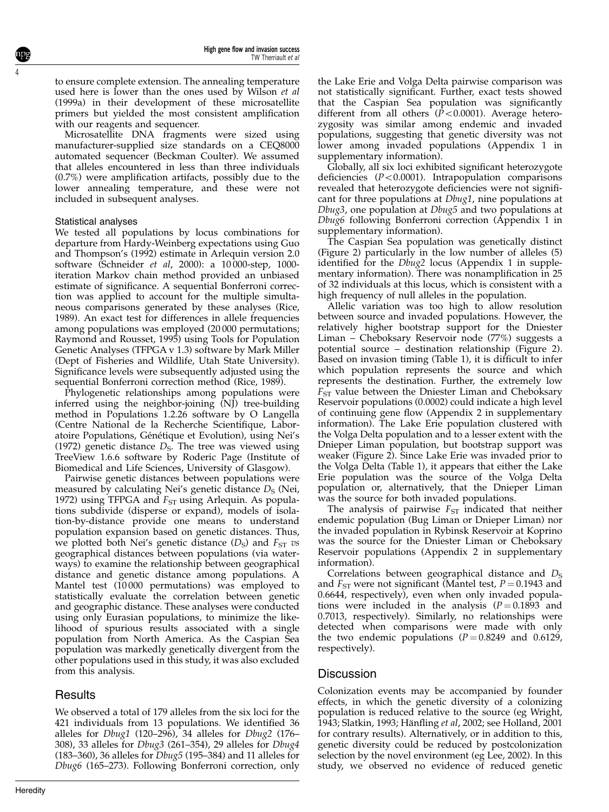to ensure complete extension. The annealing temperature used here is lower than the ones used by Wilson et al (1999a) in their development of these microsatellite primers but yielded the most consistent amplification with our reagents and sequencer.

Microsatellite DNA fragments were sized using manufacturer-supplied size standards on a CEQ8000 automated sequencer (Beckman Coulter). We assumed that alleles encountered in less than three individuals (0.7%) were amplification artifacts, possibly due to the lower annealing temperature, and these were not included in subsequent analyses.

#### Statistical analyses

4

We tested all populations by locus combinations for departure from Hardy-Weinberg expectations using Guo and Thompson's (1992) estimate in Arlequin version 2.0 software (Schneider et al, 2000): a 10 000-step, 1000 iteration Markov chain method provided an unbiased estimate of significance. A sequential Bonferroni correction was applied to account for the multiple simultaneous comparisons generated by these analyses (Rice, 1989). An exact test for differences in allele frequencies among populations was employed (20 000 permutations; Raymond and Rousset, 1995) using Tools for Population Genetic Analyses (TFPGA v 1.3) software by Mark Miller (Dept of Fisheries and Wildlife, Utah State University). Significance levels were subsequently adjusted using the sequential Bonferroni correction method (Rice, 1989).

Phylogenetic relationships among populations were inferred using the neighbor-joining (NJ) tree-building method in Populations 1.2.26 software by O Langella (Centre National de la Recherche Scientifique, Laboratoire Populations, Génétique et Evolution), using Nei's (1972) genetic distance  $D<sub>s</sub>$ . The tree was viewed using TreeView 1.6.6 software by Roderic Page (Institute of Biomedical and Life Sciences, University of Glasgow).

Pairwise genetic distances between populations were measured by calculating Nei's genetic distance  $D<sub>S</sub>$  (Nei, 1972) using TFPGA and  $F_{ST}$  using Arlequin. As populations subdivide (disperse or expand), models of isolation-by-distance provide one means to understand population expansion based on genetic distances. Thus, we plotted both Nei's genetic distance  $(D<sub>S</sub>)$  and  $F<sub>ST</sub>$  vs geographical distances between populations (via waterways) to examine the relationship between geographical distance and genetic distance among populations. A Mantel test (10 000 permutations) was employed to statistically evaluate the correlation between genetic and geographic distance. These analyses were conducted using only Eurasian populations, to minimize the likelihood of spurious results associated with a single population from North America. As the Caspian Sea population was markedly genetically divergent from the other populations used in this study, it was also excluded from this analysis.

# **Results**

We observed a total of 179 alleles from the six loci for the 421 individuals from 13 populations. We identified 36 alleles for  $Dbug1$  (120–296), 34 alleles for  $Dbug2$  (176– 308), 33 alleles for Dbug3 (261–354), 29 alleles for Dbug4 (183–360), 36 alleles for Dbug5 (195–384) and 11 alleles for Dbug6 (165–273). Following Bonferroni correction, only

the Lake Erie and Volga Delta pairwise comparison was not statistically significant. Further, exact tests showed that the Caspian Sea population was significantly different from all others  $(\bar{P} < 0.0001)$ . Average heterozygosity was similar among endemic and invaded populations, suggesting that genetic diversity was not lower among invaded populations (Appendix 1 in supplementary information).

Globally, all six loci exhibited significant heterozygote deficiencies  $(P<0.0001)$ . Intrapopulation comparisons revealed that heterozygote deficiencies were not significant for three populations at Dbug1, nine populations at Dbug3, one population at Dbug5 and two populations at Dbug6 following Bonferroni correction (Appendix 1 in supplementary information).

The Caspian Sea population was genetically distinct (Figure 2) particularly in the low number of alleles (5) identified for the *Dbug2* locus (Appendix 1 in supplementary information). There was nonamplification in 25 of 32 individuals at this locus, which is consistent with a high frequency of null alleles in the population.

Allelic variation was too high to allow resolution between source and invaded populations. However, the relatively higher bootstrap support for the Dniester Liman – Cheboksary Reservoir node (77%) suggests a potential source – destination relationship (Figure 2). Based on invasion timing (Table 1), it is difficult to infer which population represents the source and which represents the destination. Further, the extremely low  $F_{ST}$  value between the Dniester Liman and Cheboksary Reservoir populations (0.0002) could indicate a high level of continuing gene flow (Appendix 2 in supplementary information). The Lake Erie population clustered with the Volga Delta population and to a lesser extent with the Dnieper Liman population, but bootstrap support was weaker (Figure 2). Since Lake Erie was invaded prior to the Volga Delta (Table 1), it appears that either the Lake Erie population was the source of the Volga Delta population or, alternatively, that the Dnieper Liman was the source for both invaded populations.

The analysis of pairwise  $F_{ST}$  indicated that neither endemic population (Bug Liman or Dnieper Liman) nor the invaded population in Rybinsk Reservoir at Koprino was the source for the Dniester Liman or Cheboksary Reservoir populations (Appendix 2 in supplementary information).

Correlations between geographical distance and  $D_S$ and  $F_{ST}$  were not significant (Mantel test,  $P = 0.1943$  and 0.6644, respectively), even when only invaded populations were included in the analysis  $(P = 0.1893$  and 0.7013, respectively). Similarly, no relationships were detected when comparisons were made with only the two endemic populations  $(P = 0.8249$  and 0.6129, respectively).

# **Discussion**

Colonization events may be accompanied by founder effects, in which the genetic diversity of a colonizing population is reduced relative to the source (eg Wright, 1943; Slatkin, 1993; Hänfling et al, 2002; see Holland, 2001 for contrary results). Alternatively, or in addition to this, genetic diversity could be reduced by postcolonization selection by the novel environment (eg Lee, 2002). In this study, we observed no evidence of reduced genetic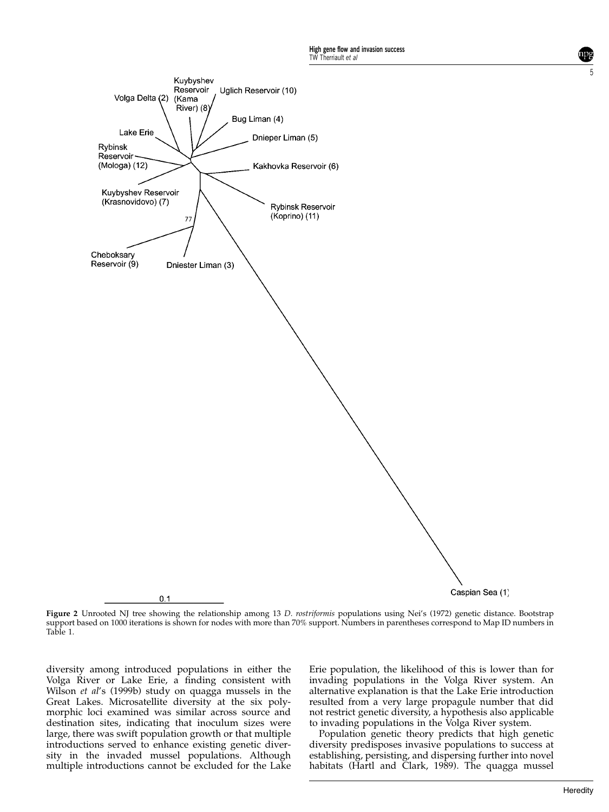

5

Figure 2 Unrooted NJ tree showing the relationship among 13 D. rostriformis populations using Nei's (1972) genetic distance. Bootstrap support based on 1000 iterations is shown for nodes with more than 70% support. Numbers in parentheses correspond to Map ID numbers in Table 1.

diversity among introduced populations in either the Volga River or Lake Erie, a finding consistent with Wilson et al's (1999b) study on quagga mussels in the Great Lakes. Microsatellite diversity at the six polymorphic loci examined was similar across source and destination sites, indicating that inoculum sizes were large, there was swift population growth or that multiple introductions served to enhance existing genetic diversity in the invaded mussel populations. Although multiple introductions cannot be excluded for the Lake

Erie population, the likelihood of this is lower than for invading populations in the Volga River system. An alternative explanation is that the Lake Erie introduction resulted from a very large propagule number that did not restrict genetic diversity, a hypothesis also applicable to invading populations in the Volga River system.

Population genetic theory predicts that high genetic diversity predisposes invasive populations to success at establishing, persisting, and dispersing further into novel habitats (Hartl and Clark, 1989). The quagga mussel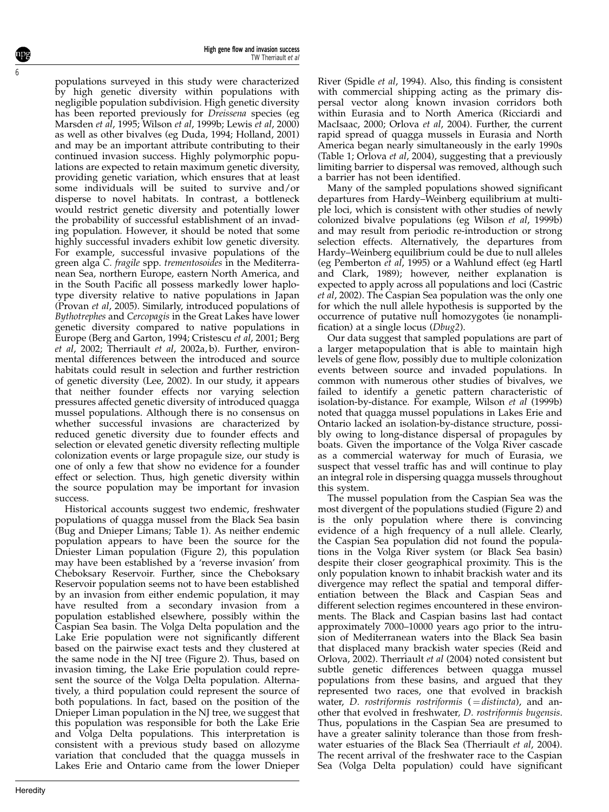populations surveyed in this study were characterized by high genetic diversity within populations with negligible population subdivision. High genetic diversity has been reported previously for Dreissena species (eg Marsden et al, 1995; Wilson et al, 1999b; Lewis et al, 2000) as well as other bivalves (eg Duda, 1994; Holland, 2001) and may be an important attribute contributing to their continued invasion success. Highly polymorphic populations are expected to retain maximum genetic diversity, providing genetic variation, which ensures that at least some individuals will be suited to survive and/or disperse to novel habitats. In contrast, a bottleneck would restrict genetic diversity and potentially lower the probability of successful establishment of an invading population. However, it should be noted that some highly successful invaders exhibit low genetic diversity. For example, successful invasive populations of the green alga C. fragile spp. trementosoides in the Mediterranean Sea, northern Europe, eastern North America, and in the South Pacific all possess markedly lower haplotype diversity relative to native populations in Japan (Provan et al, 2005). Similarly, introduced populations of Bythotrephes and Cercopagis in the Great Lakes have lower genetic diversity compared to native populations in Europe (Berg and Garton, 1994; Cristescu et al, 2001; Berg et al, 2002; Therriault et al, 2002a, b). Further, environmental differences between the introduced and source habitats could result in selection and further restriction of genetic diversity (Lee, 2002). In our study, it appears that neither founder effects nor varying selection pressures affected genetic diversity of introduced quagga mussel populations. Although there is no consensus on whether successful invasions are characterized by reduced genetic diversity due to founder effects and selection or elevated genetic diversity reflecting multiple colonization events or large propagule size, our study is one of only a few that show no evidence for a founder effect or selection. Thus, high genetic diversity within the source population may be important for invasion success.

Historical accounts suggest two endemic, freshwater populations of quagga mussel from the Black Sea basin (Bug and Dnieper Limans; Table 1). As neither endemic population appears to have been the source for the Dniester Liman population (Figure 2), this population may have been established by a 'reverse invasion' from Cheboksary Reservoir. Further, since the Cheboksary Reservoir population seems not to have been established by an invasion from either endemic population, it may have resulted from a secondary invasion from a population established elsewhere, possibly within the Caspian Sea basin. The Volga Delta population and the Lake Erie population were not significantly different based on the pairwise exact tests and they clustered at the same node in the NJ tree (Figure 2). Thus, based on invasion timing, the Lake Erie population could represent the source of the Volga Delta population. Alternatively, a third population could represent the source of both populations. In fact, based on the position of the Dnieper Liman population in the NJ tree, we suggest that this population was responsible for both the Lake Erie and Volga Delta populations. This interpretation is consistent with a previous study based on allozyme variation that concluded that the quagga mussels in Lakes Erie and Ontario came from the lower Dnieper

River (Spidle et al, 1994). Also, this finding is consistent with commercial shipping acting as the primary dispersal vector along known invasion corridors both within Eurasia and to North America (Ricciardi and MacIsaac, 2000; Orlova et al, 2004). Further, the current rapid spread of quagga mussels in Eurasia and North America began nearly simultaneously in the early 1990s (Table 1; Orlova et al, 2004), suggesting that a previously limiting barrier to dispersal was removed, although such a barrier has not been identified.

Many of the sampled populations showed significant departures from Hardy–Weinberg equilibrium at multiple loci, which is consistent with other studies of newly colonized bivalve populations (eg Wilson et al, 1999b) and may result from periodic re-introduction or strong selection effects. Alternatively, the departures from Hardy–Weinberg equilibrium could be due to null alleles (eg Pemberton et al, 1995) or a Wahlund effect (eg Hartl and Clark, 1989); however, neither explanation is expected to apply across all populations and loci (Castric et al, 2002). The Caspian Sea population was the only one for which the null allele hypothesis is supported by the occurrence of putative null homozygotes (ie nonamplification) at a single locus (Dbug2).

Our data suggest that sampled populations are part of a larger metapopulation that is able to maintain high levels of gene flow, possibly due to multiple colonization events between source and invaded populations. In common with numerous other studies of bivalves, we failed to identify a genetic pattern characteristic of isolation-by-distance. For example, Wilson et al (1999b) noted that quagga mussel populations in Lakes Erie and Ontario lacked an isolation-by-distance structure, possibly owing to long-distance dispersal of propagules by boats. Given the importance of the Volga River cascade as a commercial waterway for much of Eurasia, we suspect that vessel traffic has and will continue to play an integral role in dispersing quagga mussels throughout this system.

The mussel population from the Caspian Sea was the most divergent of the populations studied (Figure 2) and is the only population where there is convincing evidence of a high frequency of a null allele. Clearly, the Caspian Sea population did not found the populations in the Volga River system (or Black Sea basin) despite their closer geographical proximity. This is the only population known to inhabit brackish water and its divergence may reflect the spatial and temporal differentiation between the Black and Caspian Seas and different selection regimes encountered in these environments. The Black and Caspian basins last had contact approximately 7000–10000 years ago prior to the intrusion of Mediterranean waters into the Black Sea basin that displaced many brackish water species (Reid and Orlova, 2002). Therriault et al (2004) noted consistent but subtle genetic differences between quagga mussel populations from these basins, and argued that they represented two races, one that evolved in brackish water, D. rostriformis rostriformis  $( = distincta)$ , and another that evolved in freshwater, D. rostriformis bugensis. Thus, populations in the Caspian Sea are presumed to have a greater salinity tolerance than those from freshwater estuaries of the Black Sea (Therriault et al, 2004). The recent arrival of the freshwater race to the Caspian Sea (Volga Delta population) could have significant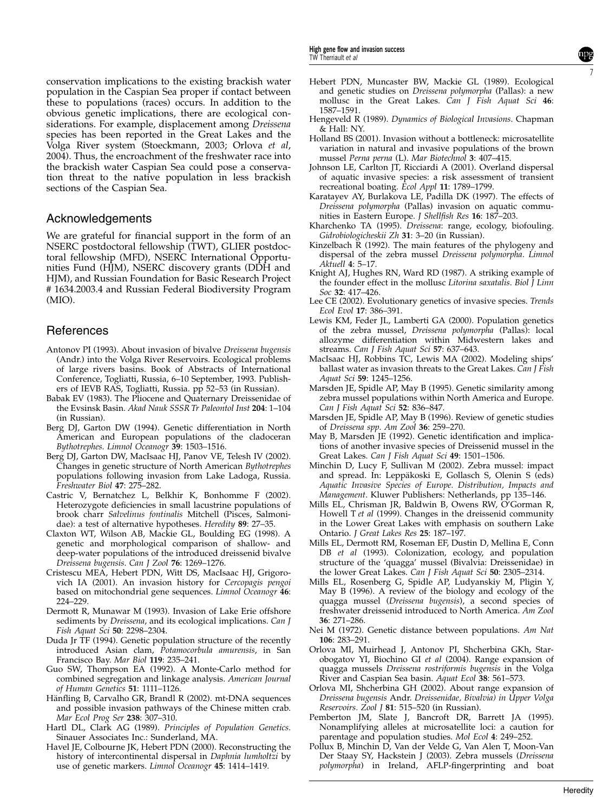conservation implications to the existing brackish water population in the Caspian Sea proper if contact between these to populations (races) occurs. In addition to the obvious genetic implications, there are ecological considerations. For example, displacement among Dreissena species has been reported in the Great Lakes and the Volga River system (Stoeckmann, 2003; Orlova et al, 2004). Thus, the encroachment of the freshwater race into the brackish water Caspian Sea could pose a conservation threat to the native population in less brackish sections of the Caspian Sea.

#### Acknowledgements

We are grateful for financial support in the form of an NSERC postdoctoral fellowship (TWT), GLIER postdoctoral fellowship (MFD), NSERC International Opportunities Fund (HJM), NSERC discovery grants (DDH and HJM), and Russian Foundation for Basic Research Project # 1634.2003.4 and Russian Federal Biodiversity Program (MIO).

## **References**

- Antonov PI (1993). About invasion of bivalve Dreissena bugensis (Andr.) into the Volga River Reservoirs. Ecological problems of large rivers basins. Book of Abstracts of International Conference, Togliatti, Russia, 6–10 September, 1993. Publishers of IEVB RAS, Togliatti, Russia. pp 52–53 (in Russian).
- Babak EV (1983). The Pliocene and Quaternary Dreissenidae of the Evsinsk Basin. Akad Nauk SSSR Tr Paleontol Inst 204: 1–104 (in Russian).
- Berg DJ, Garton DW (1994). Genetic differentiation in North American and European populations of the cladoceran Bythotrephes. Limnol Oceanogr 39: 1503-1516.
- Berg DJ, Garton DW, MacIsaac HJ, Panov VE, Telesh IV (2002). Changes in genetic structure of North American Bythotrephes populations following invasion from Lake Ladoga, Russia. Freshwater Biol 47: 275–282.
- Castric V, Bernatchez L, Belkhir K, Bonhomme F (2002). Heterozygote deficiencies in small lacustrine populations of brook charr Salvelinus fontinalis Mitchell (Pisces, Salmonidae): a test of alternative hypotheses. Heredity 89: 27–35.
- Claxton WT, Wilson AB, Mackie GL, Boulding EG (1998). A genetic and morphological comparison of shallow- and deep-water populations of the introduced dreissenid bivalve Dreissena bugensis. Can J Zool 76: 1269–1276.
- Cristescu MEA, Hebert PDN, Witt DS, MacIsaac HJ, Grigorovich IA (2001). An invasion history for Cercopagis pengoi based on mitochondrial gene sequences. Limnol Oceanogr 46: 224–229.
- Dermott R, Munawar M (1993). Invasion of Lake Erie offshore sediments by *Dreissena*, and its ecological implications. Can *J* Fish Aquat Sci 50: 2298–2304.
- Duda Jr TF (1994). Genetic population structure of the recently introduced Asian clam, Potamocorbula amurensis, in San Francisco Bay. Mar Biol 119: 235–241.
- Guo SW, Thompson EA (1992). A Monte-Carlo method for combined segregation and linkage analysis. American Journal of Human Genetics 51: 1111–1126.
- Hänfling B, Carvalho GR, Brandl R (2002). mt-DNA sequences and possible invasion pathways of the Chinese mitten crab. Mar Ecol Prog Ser 238: 307–310.
- Hartl DL, Clark AG (1989). Principles of Population Genetics. Sinauer Associates Inc.: Sunderland, MA.
- Havel JE, Colbourne JK, Hebert PDN (2000). Reconstructing the history of intercontinental dispersal in Daphnia lumholtzi by use of genetic markers. Limnol Oceanogr 45: 1414-1419.
- Hebert PDN, Muncaster BW, Mackie GL (1989). Ecological and genetic studies on Dreissena polymorpha (Pallas): a new mollusc in the Great Lakes. Can J Fish Aquat Sci 46: 1587–1591.
- Hengeveld R (1989). Dynamics of Biological Invasions. Chapman & Hall: NY.
- Holland BS (2001). Invasion without a bottleneck: microsatellite variation in natural and invasive populations of the brown mussel Perna perna (L). Mar Biotechnol 3: 407–415.
- Johnson LE, Carlton JT, Ricciardi A (2001). Overland dispersal of aquatic invasive species: a risk assessment of transient recreational boating. Ecol Appl 11: 1789–1799.
- Karatayev AY, Burlakova LE, Padilla DK (1997). The effects of Dreissena polymorpha (Pallas) invasion on aquatic communities in Eastern Europe. J Shellfish Res 16: 187–203.
- Kharchenko TA (1995). Dreissena: range, ecology, biofouling. Gidrobiologicheskii Zh 31: 3–20 (in Russian).
- Kinzelbach  $\bar{R}$  (1992). The main features of the phylogeny and dispersal of the zebra mussel Dreissena polymorpha. Limnol Aktuell 4: 5–17.
- Knight AJ, Hughes RN, Ward RD (1987). A striking example of the founder effect in the mollusc Litorina saxatalis. Biol J Linn Soc 32: 417–426.
- Lee CE (2002). Evolutionary genetics of invasive species. Trends Ecol Evol 17: 386–391.
- Lewis KM, Feder JL, Lamberti GA (2000). Population genetics of the zebra mussel, Dreissena polymorpha (Pallas): local allozyme differentiation within Midwestern lakes and streams. Can J Fish Aquat Sci 57: 637-643.
- MacIsaac HJ, Robbins TC, Lewis MA (2002). Modeling ships' ballast water as invasion threats to the Great Lakes. Can J Fish Aquat Sci 59: 1245–1256.
- Marsden JE, Spidle AP, May B (1995). Genetic similarity among zebra mussel populations within North America and Europe. Can J Fish Aquat Sci 52: 836–847.
- Marsden JE, Spidle AP, May B (1996). Review of genetic studies of Dreissena spp. Am Zool 36: 259–270.
- May B, Marsden JE (1992). Genetic identification and implications of another invasive species of Dreissenid mussel in the Great Lakes. Can J Fish Aquat Sci 49: 1501–1506.
- Minchin D, Lucy F, Sullivan M (2002). Zebra mussel: impact and spread. In: Leppäkoski E, Gollasch S, Olenin S (eds) Aquatic Invasive Species of Europe. Distribution, Impacts and Management. Kluwer Publishers: Netherlands, pp 135–146.
- Mills EL, Chrisman JR, Baldwin B, Owens RW, O'Gorman R, Howell T et al (1999). Changes in the dreissenid community in the Lower Great Lakes with emphasis on southern Lake Ontario. J Great Lakes Res 25: 187-197.
- Mills EL, Dermott RM, Roseman EF, Dustin D, Mellina E, Conn DB et al (1993). Colonization, ecology, and population structure of the 'quagga' mussel (Bivalvia: Dreissenidae) in the lower Great Lakes. Can J Fish Aquat Sci 50: 2305–2314.
- Mills EL, Rosenberg G, Spidle AP, Ludyanskiy M, Pligin Y, May B (1996). A review of the biology and ecology of the quagga mussel (Dreissena bugensis), a second species of freshwater dreissenid introduced to North America. Am Zool 36: 271–286.
- Nei M (1972). Genetic distance between populations. Am Nat 106: 283–291.
- Orlova MI, Muirhead J, Antonov PI, Shcherbina GKh, Starobogatov YI, Biochino GI et al (2004). Range expansion of quagga mussels Dreissena rostriformis bugensis in the Volga River and Caspian Sea basin. Aquat Ecol 38: 561–573.
- Orlova MI, Shcherbina GH (2002). About range expansion of Dreissena bugensis Andr. Dreissenidae, Bivalvia) in Upper Volga Reservoirs. Zool J 81: 515–520 (in Russian).
- Pemberton JM, Slate J, Bancroft DR, Barrett JA (1995). Nonamplifying alleles at microsatellite loci: a caution for parentage and population studies. Mol Ecol 4: 249–252.
- Pollux B, Minchin D, Van der Velde G, Van Alen T, Moon-Van Der Staay SY, Hackstein J (2003). Zebra mussels (Dreissena polymorpha) in Ireland, AFLP-fingerprinting and boat